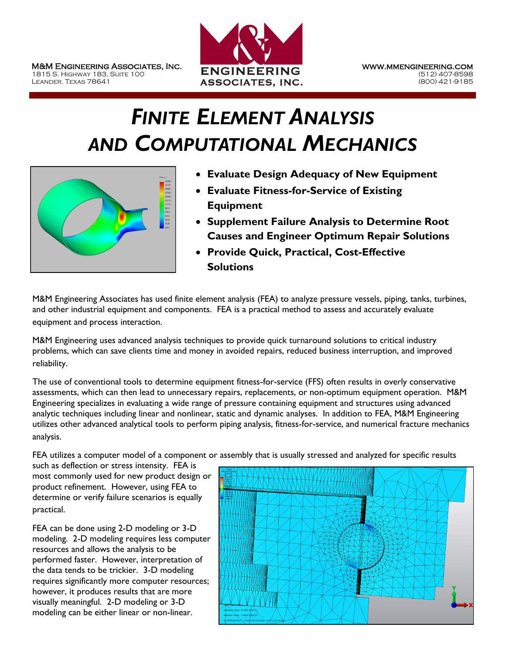

## *FINITE ELEMENT ANALYSIS AND COMPUTATIONAL MECHANICS*



- **Evaluate Design Adequacy of New Equipment**
- **Evaluate Fitness-for-Service of Existing Equipment**
- **Supplement Failure Analysis to Determine Root Causes and Engineer Optimum Repair Solutions**
- **Provide Quick, Practical, Cost-Effective Solutions**

M&M Engineering Associates has used finite element analysis (FEA) to analyze pressure vessels, piping, tanks, turbines, and other industrial equipment and components. FEA is a practical method to assess and accurately evaluate equipment and process interaction.

M&M Engineering uses advanced analysis techniques to provide quick turnaround solutions to critical industry problems, which can save clients time and money in avoided repairs, reduced business interruption, and improved reliability.

The use of conventional tools to determine equipment fitness-for-service (FFS) often results in overly conservative assessments, which can then lead to unnecessary repairs, replacements, or non-optimum equipment operation. M&M Engineering specializes in evaluating a wide range of pressure containing equipment and structures using advanced analytic techniques including linear and nonlinear, static and dynamic analyses. In addition to FEA, M&M Engineering utilizes other advanced analytical tools to perform piping analysis, fitness-for-service, and numerical fracture mechanics analysis.

FEA utilizes a computer model of a component or assembly that is usually stressed and analyzed for specific results

such as deflection or stress intensity. FEA is most commonly used for new product design or product refinement. However, using FEA to determine or verify failure scenarios is equally practical.

FEA can be done using 2-D modeling or 3-D modeling. 2-D modeling requires less computer resources and allows the analysis to be performed faster. However, interpretation of the data tends to be trickier. 3-D modeling requires significantly more computer resources; however, it produces results that are more visually meaningful. 2-D modeling or 3-D modeling can be either linear or non-linear.